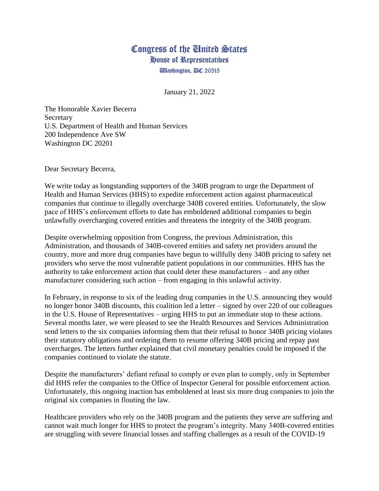## Congress of the United States House of Representatives *Udashington, DC 20515*

January 21, 2022

The Honorable Xavier Becerra Secretary U.S. Department of Health and Human Services 200 Independence Ave SW Washington DC 20201

Dear Secretary Becerra,

We write today as longstanding supporters of the 340B program to urge the Department of Health and Human Services (HHS) to expedite enforcement action against pharmaceutical companies that continue to illegally overcharge 340B covered entities. Unfortunately, the slow pace of HHS's enforcement efforts to date has emboldened additional companies to begin unlawfully overcharging covered entities and threatens the integrity of the 340B program.

Despite overwhelming opposition from Congress, the previous Administration, this Administration, and thousands of 340B-covered entities and safety net providers around the country, more and more drug companies have begun to willfully deny 340B pricing to safety net providers who serve the most vulnerable patient populations in our communities. HHS has the authority to take enforcement action that could deter these manufacturers – and any other manufacturer considering such action – from engaging in this unlawful activity.

In February, in response to six of the leading drug companies in the U.S. announcing they would no longer honor 340B discounts, this coalition led a letter – signed by over 220 of our colleagues in the U.S. House of Representatives – urging HHS to put an immediate stop to these actions. Several months later, we were pleased to see the Health Resources and Services Administration send letters to the six companies informing them that their refusal to honor 340B pricing violates their statutory obligations and ordering them to resume offering 340B pricing and repay past overcharges. The letters further explained that civil monetary penalties could be imposed if the companies continued to violate the statute.

Despite the manufacturers' defiant refusal to comply or even plan to comply, only in September did HHS refer the companies to the Office of Inspector General for possible enforcement action. Unfortunately, this ongoing inaction has emboldened at least six more drug companies to join the original six companies in flouting the law.

Healthcare providers who rely on the 340B program and the patients they serve are suffering and cannot wait much longer for HHS to protect the program's integrity. Many 340B-covered entities are struggling with severe financial losses and staffing challenges as a result of the COVID-19